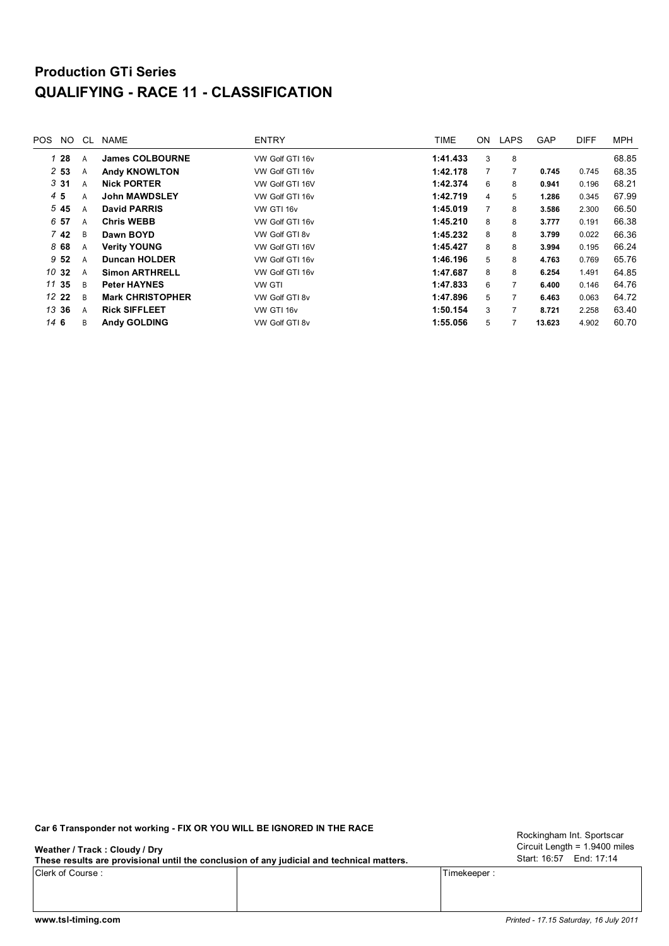## **Production GTi Series QUALIFYING - RACE 11 - CLASSIFICATION**

| POS. | NO.             | CL. | <b>NAME</b>             | <b>ENTRY</b>    | TIME     | ON.            | <b>LAPS</b>    | <b>GAP</b> | <b>DIFF</b> | <b>MPH</b> |
|------|-----------------|-----|-------------------------|-----------------|----------|----------------|----------------|------------|-------------|------------|
|      | 128             | A   | <b>James COLBOURNE</b>  | VW Golf GTI 16v | 1:41.433 | 3              | 8              |            |             | 68.85      |
|      | 253             | A   | <b>Andy KNOWLTON</b>    | VW Golf GTI 16v | 1:42.178 | $\overline{7}$ | 7              | 0.745      | 0.745       | 68.35      |
|      | 331             | A   | <b>Nick PORTER</b>      | VW Golf GTI 16V | 1:42.374 | 6              | 8              | 0.941      | 0.196       | 68.21      |
|      | 45              | A   | <b>John MAWDSLEY</b>    | VW Golf GTI 16v | 1:42.719 | 4              | 5              | 1.286      | 0.345       | 67.99      |
|      | 545             | A   | <b>David PARRIS</b>     | VW GTI 16v      | 1:45.019 | $\overline{7}$ | 8              | 3.586      | 2.300       | 66.50      |
|      | 6 57            | A   | <b>Chris WEBB</b>       | VW Golf GTI 16v | 1:45.210 | 8              | 8              | 3.777      | 0.191       | 66.38      |
|      | 7 <sub>42</sub> | B   | Dawn BOYD               | VW Golf GTI 8v  | 1:45.232 | 8              | 8              | 3.799      | 0.022       | 66.36      |
|      | 868             | A   | <b>Verity YOUNG</b>     | VW Golf GTI 16V | 1:45.427 | 8              | 8              | 3.994      | 0.195       | 66.24      |
|      | 9 <sub>52</sub> | A   | <b>Duncan HOLDER</b>    | VW Golf GTI 16v | 1:46.196 | 5              | 8              | 4.763      | 0.769       | 65.76      |
|      | 10 32           | A   | <b>Simon ARTHRELL</b>   | VW Golf GTI 16v | 1:47.687 | 8              | 8              | 6.254      | 1.491       | 64.85      |
|      | 11 35           | B   | <b>Peter HAYNES</b>     | VW GTI          | 1:47.833 | 6              | $\overline{7}$ | 6.400      | 0.146       | 64.76      |
|      | 12 22           | B   | <b>Mark CHRISTOPHER</b> | VW Golf GTI 8v  | 1:47.896 | 5              | 7              | 6.463      | 0.063       | 64.72      |
|      | 13 36           | A   | <b>Rick SIFFLEET</b>    | VW GTI 16v      | 1:50.154 | 3              | 7              | 8.721      | 2.258       | 63.40      |
| 146  |                 | B   | <b>Andy GOLDING</b>     | VW Golf GTI 8v  | 1:55.056 | 5              |                | 13.623     | 4.902       | 60.70      |
|      |                 |     |                         |                 |          |                |                |            |             |            |

**Car 6 Transponder not working - FIX OR YOU WILL BE IGNORED IN THE RACE**

**Weather / Track : Cloudy / Dry**

**These results are provisional until the conclusion of any judicial and technical matters.**

Clerk of Course : Timekeeper :

Circuit Length = 1.9400 miles Start: 16:57 End: 17:14 Rockingham Int. Sportscar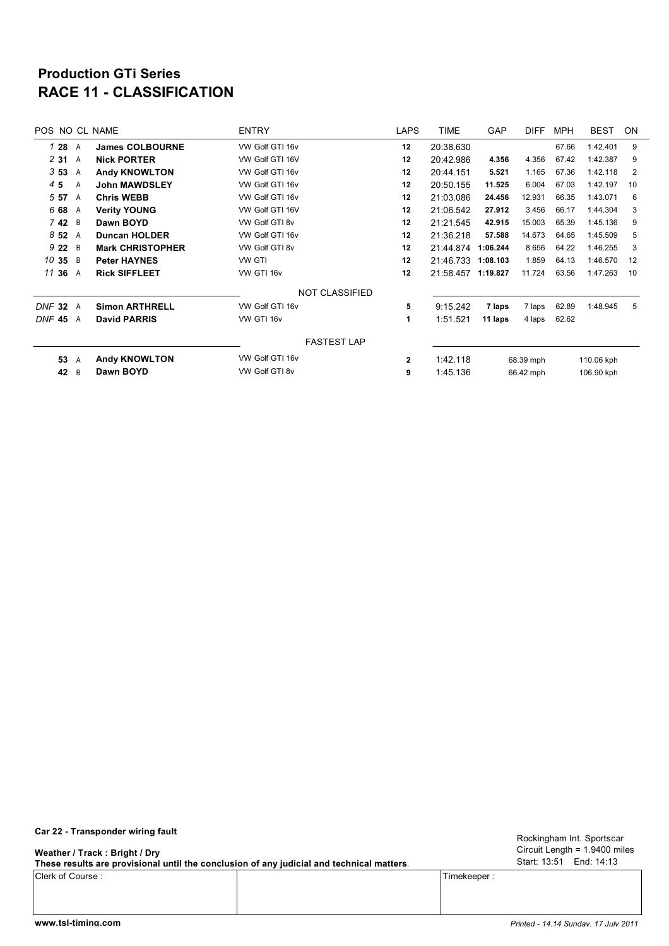## **RACE 11 - CLASSIFICATION Production GTi Series**

| POS NO CL NAME |                |                         | <b>ENTRY</b>          | <b>LAPS</b>  | <b>TIME</b> | <b>GAP</b> | <b>DIFF</b> | <b>MPH</b> | <b>BEST</b> | <b>ON</b>      |
|----------------|----------------|-------------------------|-----------------------|--------------|-------------|------------|-------------|------------|-------------|----------------|
| 1 28 A         |                | <b>James COLBOURNE</b>  | VW Golf GTI 16v       | 12           | 20:38.630   |            |             | 67.66      | 1:42.401    | 9              |
| 231            | A              | <b>Nick PORTER</b>      | VW Golf GTI 16V       | 12           | 20:42.986   | 4.356      | 4.356       | 67.42      | 1:42.387    | 9              |
| 353            | A              | <b>Andy KNOWLTON</b>    | VW Golf GTI 16v       | 12           | 20:44.151   | 5.521      | 1.165       | 67.36      | 1:42.118    | $\overline{2}$ |
| 45             | A              | <b>John MAWDSLEY</b>    | VW Golf GTI 16v       | 12           | 20:50.155   | 11.525     | 6.004       | 67.03      | 1:42.197    | 10             |
| 5 57           | A              | <b>Chris WEBB</b>       | VW Golf GTI 16v       | 12           | 21:03.086   | 24.456     | 12.931      | 66.35      | 1:43.071    | 6              |
| 6 68           | A              | <b>Verity YOUNG</b>     | VW Golf GTI 16V       | 12           | 21:06.542   | 27.912     | 3.456       | 66.17      | 1:44.304    | 3              |
| 742 B          |                | Dawn BOYD               | VW Golf GTI 8v        | 12           | 21:21.545   | 42.915     | 15.003      | 65.39      | 1:45.136    | 9              |
| 852            | A              | <b>Duncan HOLDER</b>    | VW Golf GTI 16v       | 12           | 21:36.218   | 57.588     | 14.673      | 64.65      | 1:45.509    | 5              |
| 9 2 2          | $\overline{B}$ | <b>Mark CHRISTOPHER</b> | VW Golf GTI 8v        | 12           | 21:44.874   | 1:06.244   | 8.656       | 64.22      | 1:46.255    | 3              |
| 10 35          | $\overline{B}$ | <b>Peter HAYNES</b>     | <b>VW GTI</b>         | 12           | 21:46.733   | 1:08.103   | 1.859       | 64.13      | 1:46.570    | 12             |
| 11 36          | A              | <b>Rick SIFFLEET</b>    | VW GTI 16v            | 12           | 21:58.457   | 1:19.827   | 11.724      | 63.56      | 1:47.263    | 10             |
|                |                |                         | <b>NOT CLASSIFIED</b> |              |             |            |             |            |             |                |
| <b>DNF 32</b>  | A              | <b>Simon ARTHRELL</b>   | VW Golf GTI 16v       | 5            | 9:15.242    | 7 laps     | 7 laps      | 62.89      | 1:48.945    | 5              |
| <b>DNF 45</b>  | A              | <b>David PARRIS</b>     | VW GTI 16v            | 1            | 1:51.521    | 11 laps    | 4 laps      | 62.62      |             |                |
|                |                |                         | <b>FASTEST LAP</b>    |              |             |            |             |            |             |                |
| 53             | A              | <b>Andy KNOWLTON</b>    | VW Golf GTI 16v       | $\mathbf{2}$ | 1:42.118    | 68.39 mph  |             | 110.06 kph |             |                |
| 42             | B              | Dawn BOYD               | VW Golf GTI 8v        | 9            | 1:45.136    | 66.42 mph  |             |            | 106.90 kph  |                |

**Car 22 - Transponder wiring fault**

**Weather / Track : Bright / Dry**

**These results are provisional until the conclusion of any judicial and technical matters.**

Clerk of Course : Timekeeper :

Circuit Length = 1.9400 miles Start: 13:51 End: 14:13 Rockingham Int. Sportscar